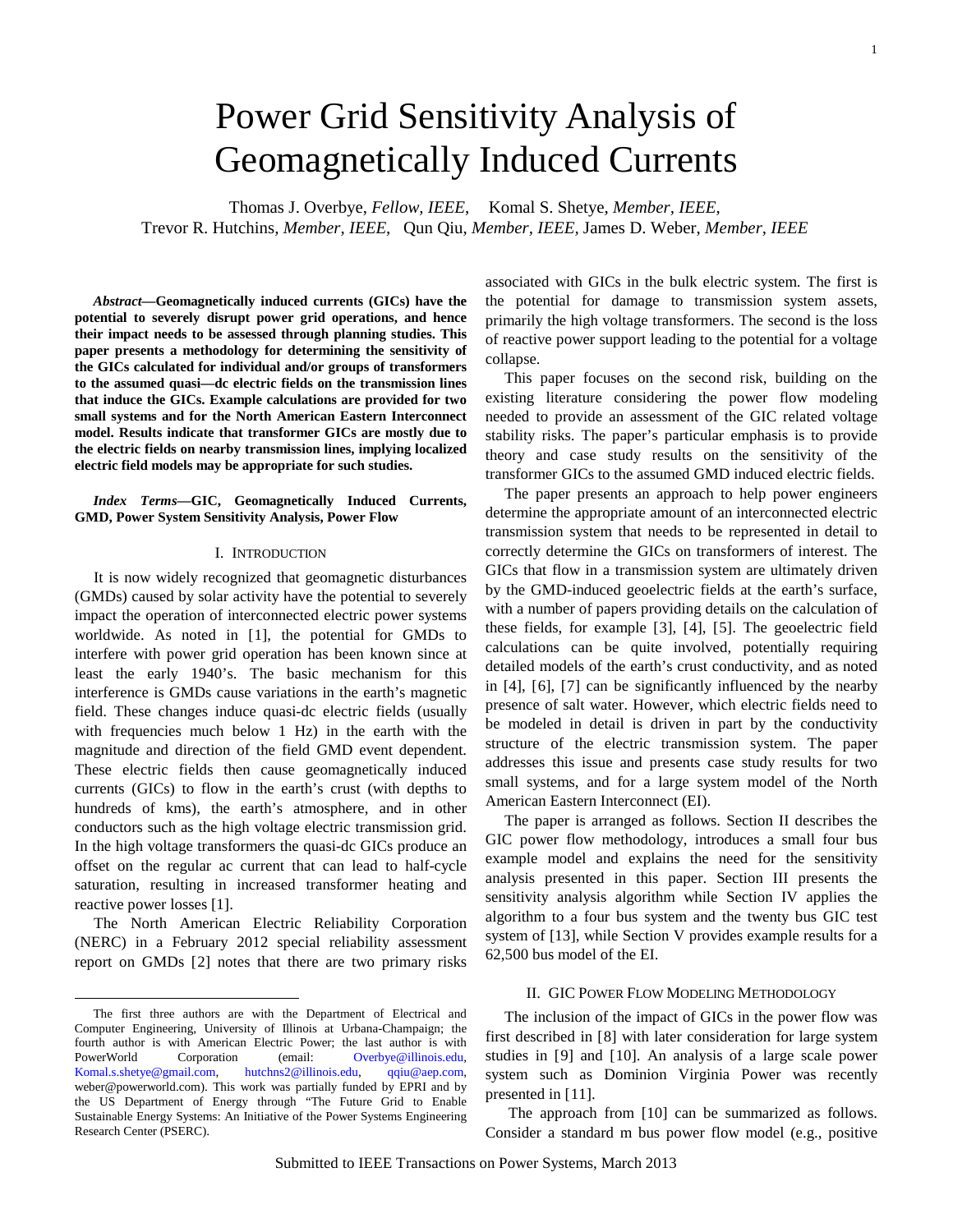# Power Grid Sensitivity Analysis of Geomagnetically Induced Currents

Thomas J. Overbye, *Fellow, IEEE*, Komal S. Shetye, *Member, IEEE*, Trevor R. Hutchins*, Member, IEEE*, Qun Qiu, *Member, IEEE,* James D. Weber, *Member, IEEE*

*Abstract***—Geomagnetically induced currents (GICs) have the potential to severely disrupt power grid operations, and hence their impact needs to be assessed through planning studies. This paper presents a methodology for determining the sensitivity of the GICs calculated for individual and/or groups of transformers to the assumed quasi—dc electric fields on the transmission lines that induce the GICs. Example calculations are provided for two small systems and for the North American Eastern Interconnect model. Results indicate that transformer GICs are mostly due to the electric fields on nearby transmission lines, implying localized electric field models may be appropriate for such studies.** 

*Index Terms***—GIC, Geomagnetically Induced Currents, GMD, Power System Sensitivity Analysis, Power Flow**

#### <span id="page-0-0"></span>I. INTRODUCTION

It is now widely recognized that geomagnetic disturbances (GMDs) caused by solar activity have the potential to severely impact the operation of interconnected electric power systems worldwide. As noted in [[1](#page-6-0)], the potential for GMDs to interfere with power grid operation has been known since at least the early 1940's. The basic mechanism for this interference is GMDs cause variations in the earth's magnetic field. These changes induce quasi-dc electric fields (usually with frequencies much below 1 Hz) in the earth with the magnitude and direction of the field GMD event dependent. These electric fields then cause geomagnetically induced currents (GICs) to flow in the earth's crust (with depths to hundreds of kms), the earth's atmosphere, and in other conductors such as the high voltage electric transmission grid. In the high voltage transformers the quasi-dc GICs produce an offset on the regular ac current that can lead to half-cycle saturation, resulting in increased transformer heating and reactive power losses [\[1\]](#page-0-0).

The North American Electric Reliability Corporation (NERC) in a February 2012 special reliability assessment report on GMDs [[2\]](#page-6-1) notes that there are two primary risks

<span id="page-0-4"></span> $\overline{a}$ 

associated with GICs in the bulk electric system. The first is the potential for damage to transmission system assets, primarily the high voltage transformers. The second is the loss of reactive power support leading to the potential for a voltage collapse.

This paper focuses on the second risk, building on the existing literature considering the power flow modeling needed to provide an assessment of the GIC related voltage stability risks. The paper's particular emphasis is to provide theory and case study results on the sensitivity of the transformer GICs to the assumed GMD induced electric fields.

<span id="page-0-1"></span>The paper presents an approach to help power engineers determine the appropriate amount of an interconnected electric transmission system that needs to be represented in detail to correctly determine the GICs on transformers of interest. The GICs that flow in a transmission system are ultimately driven by the GMD-induced geoelectric fields at the earth's surface, with a number of papers providing details on the calculation of these fields, for example [[3\]](#page-6-2), [[4](#page-6-3)], [[5](#page-6-4)]. The geoelectric field calculations can be quite involved, potentially requiring detailed models of the earth's crust conductivity, and as noted in [\[4\]](#page-0-1), [[6\]](#page-6-5), [[7](#page-6-6)] can be significantly influenced by the nearby presence of salt water. However, which electric fields need to be modeled in detail is driven in part by the conductivity structure of the electric transmission system. The paper addresses this issue and presents case study results for two small systems, and for a large system model of the North American Eastern Interconnect (EI).

The paper is arranged as follows. Section II describes the GIC power flow methodology, introduces a small four bus example model and explains the need for the sensitivity analysis presented in this paper. Section III presents the sensitivity analysis algorithm while Section IV applies the algorithm to a four bus system and the twenty bus GIC test system of [\[13\]](#page-1-0), while Section V provides example results for a 62,500 bus model of the EI.

# <span id="page-0-5"></span><span id="page-0-3"></span><span id="page-0-2"></span>II. GIC POWER FLOW MODELING METHODOLOGY

The inclusion of the impact of GICs in the power flow was first described in [[8](#page-6-7)] with later consideration for large system studies in [[9](#page-6-8)] and [[10\]](#page-6-9). An analysis of a large scale power system such as Dominion Virginia Power was recently presented in [[11\]](#page-6-10).

The approach from [10] can be summarized as follows. Consider a standard m bus power flow model (e.g., positive

The first three authors are with the Department of Electrical and Computer Engineering, University of Illinois at Urbana-Champaign; the fourth author is with American Electric Power; the last author is with PowerWorld Corporation (email: [Overbye@illinois.edu,](mailto:Overbye@illinois.edu) Komal.s.shetye@gmail.com, hutchns2@illinois.edu, qqiu@aep.com, [Komal.s.shetye@gmail.com,](mailto:Komal.s.shetye@gmail.com) [hutchns2@illinois.edu,](mailto:hutchns2@illinois.edu) weber@powerworld.com). This work was partially funded by EPRI and by the US Department of Energy through "The Future Grid to Enable Sustainable Energy Systems: An Initiative of the Power Systems Engineering Research Center (PSERC).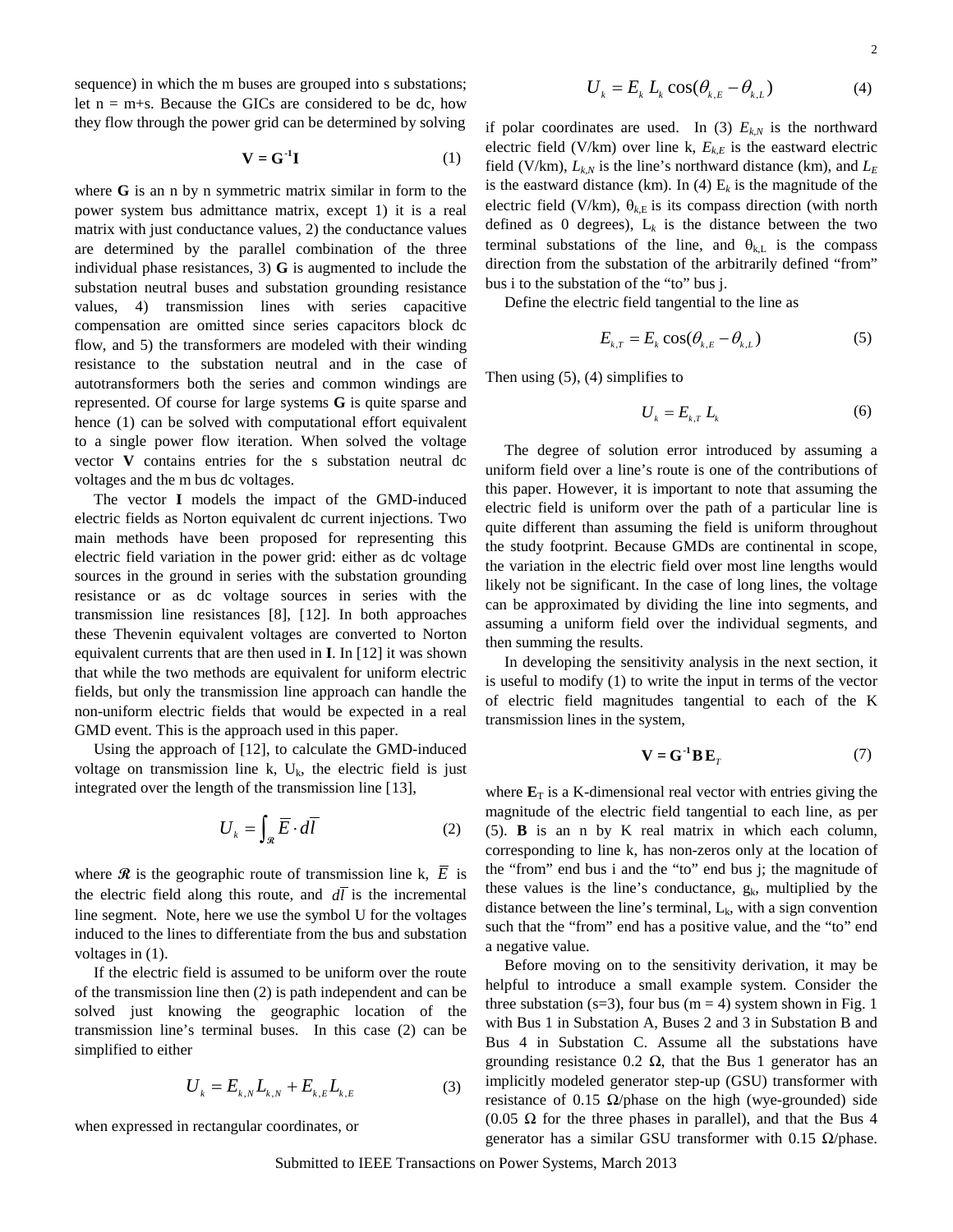sequence) in which the m buses are grouped into s substations; let  $n = m+s$ . Because the GICs are considered to be dc, how they flow through the power grid can be determined by solving

$$
\mathbf{V} = \mathbf{G}^{-1} \mathbf{I} \tag{1}
$$

where **G** is an n by n symmetric matrix similar in form to the power system bus admittance matrix, except 1) it is a real matrix with just conductance values, 2) the conductance values are determined by the parallel combination of the three individual phase resistances, 3) **G** is augmented to include the substation neutral buses and substation grounding resistance values, 4) transmission lines with series capacitive compensation are omitted since series capacitors block dc flow, and 5) the transformers are modeled with their winding resistance to the substation neutral and in the case of autotransformers both the series and common windings are represented. Of course for large systems **G** is quite sparse and hence [\(1\)](#page-1-1) can be solved with computational effort equivalent to a single power flow iteration. When solved the voltage vector **V** contains entries for the s substation neutral dc voltages and the m bus dc voltages.

The vector **I** models the impact of the GMD-induced electric fields as Norton equivalent dc current injections. Two main methods have been proposed for representing this electric field variation in the power grid: either as dc voltage sources in the ground in series with the substation grounding resistance or as dc voltage sources in series with the transmission line resistances [\[8\]](#page-0-2), [[12\]](#page-6-11). In both approaches these Thevenin equivalent voltages are converted to Norton equivalent currents that are then used in **I**. In [\[12\]](#page-1-2) it was shown that while the two methods are equivalent for uniform electric fields, but only the transmission line approach can handle the non-uniform electric fields that would be expected in a real GMD event. This is the approach used in this paper.

Using the approach of [\[12\]](#page-1-2), to calculate the GMD-induced voltage on transmission line k,  $U_k$ , the electric field is just integrated over the length of the transmission line [[13\]](#page-6-12),

$$
U_k = \int_{\mathcal{R}} \overline{E} \cdot d\overline{I} \tag{2}
$$

where  $\hat{\mathcal{R}}$  is the geographic route of transmission line k,  $\overline{E}$  is the electric field along this route, and  $d\bar{l}$  is the incremental line segment. Note, here we use the symbol U for the voltages induced to the lines to differentiate from the bus and substation voltages in [\(1\)](#page-1-1).

If the electric field is assumed to be uniform over the route of the transmission line then [\(2\)](#page-1-3) is path independent and can be solved just knowing the geographic location of the transmission line's terminal buses. In this case [\(2\)](#page-1-3) can be simplified to either

$$
U_{k} = E_{k,N} L_{k,N} + E_{k,E} L_{k,E}
$$
 (3)

when expressed in rectangular coordinates, or

<span id="page-1-5"></span>
$$
U_{k} = E_{k} L_{k} \cos(\theta_{k,E} - \theta_{k,L})
$$
 (4)

<span id="page-1-1"></span>if polar coordinates are used. In [\(3\)](#page-1-4)  $E_{k,N}$  is the northward electric field (V/km) over line k,  $E_{k,E}$  is the eastward electric field (V/km),  $L_{k,N}$  is the line's northward distance (km), and  $L_E$ is the eastward distance (km). In [\(4\)](#page-1-5)  $E_k$  is the magnitude of the electric field (V/km),  $\theta_{k,E}$  is its compass direction (with north defined as 0 degrees),  $L_k$  is the distance between the two terminal substations of the line, and  $\theta_{k,L}$  is the compass direction from the substation of the arbitrarily defined "from" bus i to the substation of the "to" bus j.

Define the electric field tangential to the line as

$$
E_{k,T} = E_k \cos(\theta_{k,E} - \theta_{k,L})
$$
\n(5)

Then using [\(5\)](#page-1-6)[, \(4\)](#page-1-5) simplifies to

<span id="page-1-7"></span><span id="page-1-6"></span>
$$
U_k = E_{k,T} L_k \tag{6}
$$

The degree of solution error introduced by assuming a uniform field over a line's route is one of the contributions of this paper. However, it is important to note that assuming the electric field is uniform over the path of a particular line is quite different than assuming the field is uniform throughout the study footprint. Because GMDs are continental in scope, the variation in the electric field over most line lengths would likely not be significant. In the case of long lines, the voltage can be approximated by dividing the line into segments, and assuming a uniform field over the individual segments, and then summing the results.

<span id="page-1-2"></span>In developing the sensitivity analysis in the next section, it is useful to modify [\(1\)](#page-1-1) to write the input in terms of the vector of electric field magnitudes tangential to each of the K transmission lines in the system,

$$
\mathbf{V} = \mathbf{G}^{-1} \mathbf{B} \mathbf{E}_T \tag{7}
$$

<span id="page-1-3"></span><span id="page-1-0"></span>where  $\mathbf{E}_T$  is a K-dimensional real vector with entries giving the magnitude of the electric field tangential to each line, as per [\(5\)](#page-1-6). **B** is an n by K real matrix in which each column, corresponding to line k, has non-zeros only at the location of the "from" end bus i and the "to" end bus j; the magnitude of these values is the line's conductance,  $g_k$ , multiplied by the distance between the line's terminal,  $L_k$ , with a sign convention such that the "from" end has a positive value, and the "to" end a negative value.

<span id="page-1-4"></span>Before moving on to the sensitivity derivation, it may be helpful to introduce a small example system. Consider the three substation (s=3), four bus (m = 4) system shown in Fig. 1 with Bus 1 in Substation A, Buses 2 and 3 in Substation B and Bus 4 in Substation C. Assume all the substations have grounding resistance 0.2  $\Omega$ , that the Bus 1 generator has an implicitly modeled generator step-up (GSU) transformer with resistance of 0.15  $\Omega$ /phase on the high (wye-grounded) side (0.05  $\Omega$  for the three phases in parallel), and that the Bus 4 generator has a similar GSU transformer with 0.15  $Ω$ /phase.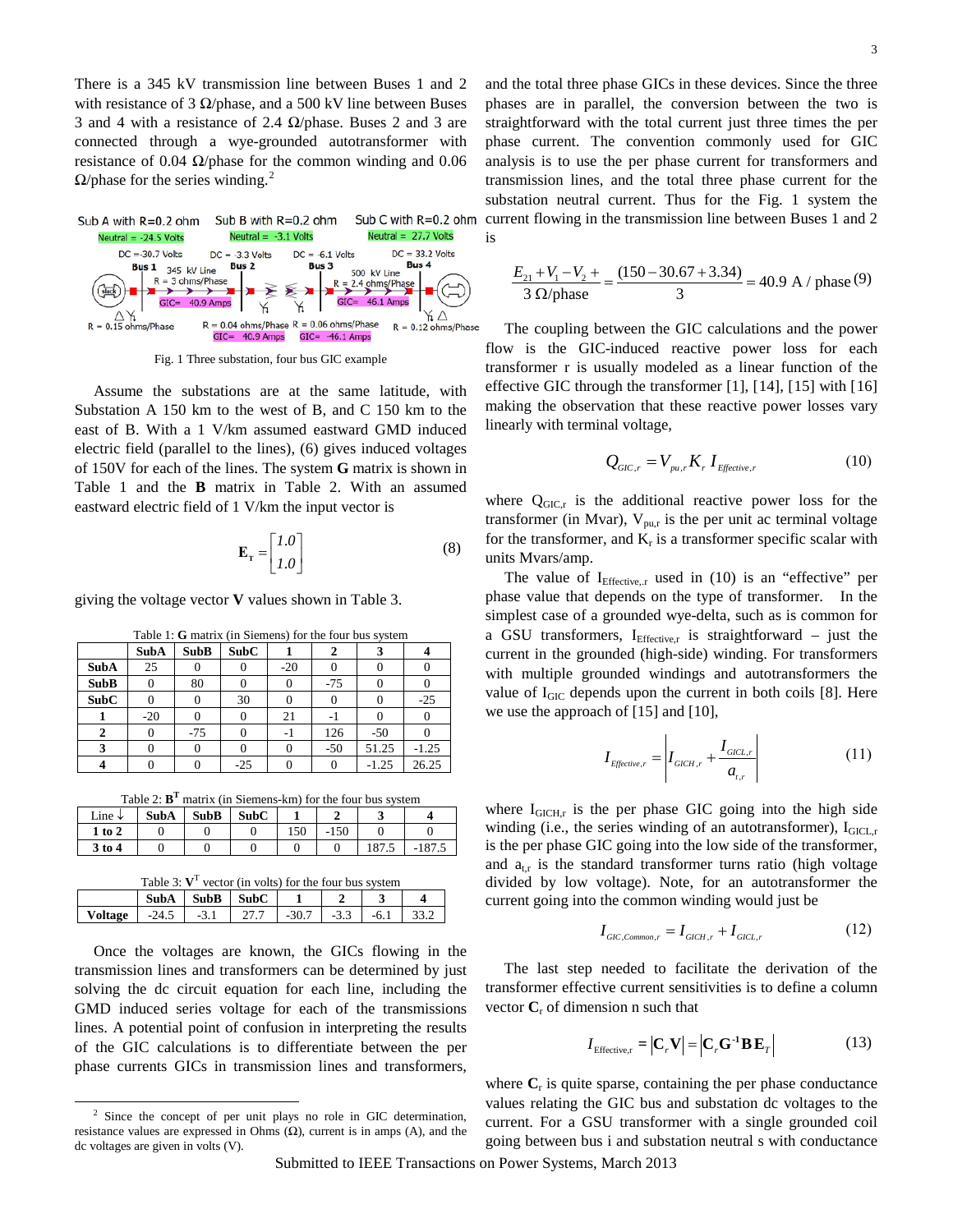There is a 345 kV transmission line between Buses 1 and 2 with resistance of 3  $\Omega$ /phase, and a 500 kV line between Buses 3 and 4 with a resistance of 2.4  $\Omega$ /phase. Buses 2 and 3 are connected through a wye-grounded autotransformer with resistance of 0.04  $\Omega$ /phase for the common winding and 0.06  $\Omega$ /phase for the series winding.<sup>[2](#page-2-5)</sup>



Fig. 1 Three substation, four bus GIC example

Assume the substations are at the same latitude, with Substation A 150 km to the west of B, and C 150 km to the east of B. With a 1 V/km assumed eastward GMD induced electric field (parallel to the lines), [\(6\)](#page-1-7) gives induced voltages of 150V for each of the lines. The system **G** matrix is shown in Table [1](#page-2-0) and the **B** matrix in Table [2.](#page-2-1) With an assumed eastward electric field of 1 V/km the input vector is

$$
\mathbf{E}_{\mathbf{T}} = \begin{bmatrix} I.0 \\ I.0 \end{bmatrix} \tag{8}
$$

giving the voltage vector **V** values shown in Table [3.](#page-2-2)

|             | <b>SubA</b> | <b>SubB</b> | <b>SubC</b> |       |       |         |         |
|-------------|-------------|-------------|-------------|-------|-------|---------|---------|
| <b>SubA</b> | 25          |             |             | $-20$ |       |         |         |
| <b>SubB</b> |             | 80          |             |       | $-75$ |         |         |
| <b>SubC</b> |             |             | 30          |       |       |         | $-25$   |
|             | $-20$       |             |             | 21    |       |         |         |
|             | 0           | $-75$       |             | - 1   | 126   | $-50$   |         |
|             |             |             |             |       | $-50$ | 51.25   | $-1.25$ |
|             |             |             | $-25$       |       |       | $-1.25$ | 26.25   |

<span id="page-2-0"></span>Table 1: **G** matrix (in Siemens) for the four bus system

<span id="page-2-2"></span><span id="page-2-1"></span>Table 2:  $B<sup>T</sup>$  matrix (in Siemens-km) for the four bus system

| Line $\downarrow$ | <b>SubA</b> | <b>SubB</b> | <b>SubC</b> |     |        |       |          |
|-------------------|-------------|-------------|-------------|-----|--------|-------|----------|
| 1 to 2            |             |             |             | 150 | $-150$ |       |          |
| $3$ to 4          |             |             |             |     |        | 187.5 | $-187.5$ |

| Table 3: $V^T$ vector (in volts) for the four bus system |                               |  |                                             |  |  |  |  |  |
|----------------------------------------------------------|-------------------------------|--|---------------------------------------------|--|--|--|--|--|
|                                                          | $SubA$ $SubB$ $SubC$ $\vdash$ |  |                                             |  |  |  |  |  |
| Voltage                                                  |                               |  | $-24.5$ $-3.1$ $27.7$ $-30.7$ $-3.3$ $-6.1$ |  |  |  |  |  |

Once the voltages are known, the GICs flowing in the transmission lines and transformers can be determined by just solving the dc circuit equation for each line, including the GMD induced series voltage for each of the transmissions lines. A potential point of confusion in interpreting the results of the GIC calculations is to differentiate between the per phase currents GICs in transmission lines and transformers,

and the total three phase GICs in these devices. Since the three phases are in parallel, the conversion between the two is straightforward with the total current just three times the per phase current. The convention commonly used for GIC analysis is to use the per phase current for transformers and transmission lines, and the total three phase current for the substation neutral current. Thus for the Fig. 1 system the current flowing in the transmission line between Buses 1 and 2 is

$$
\frac{E_{21} + V_1 - V_2 +}{3 \Omega/\text{phase}} = \frac{(150 - 30.67 + 3.34)}{3} = 40.9 \text{ A} / \text{phase } (9)
$$

The coupling between the GIC calculations and the power flow is the GIC-induced reactive power loss for each transformer r is usually modeled as a linear function of the effective GIC through the transformer [\[1\]](#page-0-0), [[14\]](#page-6-13), [[15](#page-6-14)] with [[16\]](#page-6-15) making the observation that these reactive power losses vary linearly with terminal voltage,

<span id="page-2-4"></span><span id="page-2-3"></span>
$$
Q_{\text{GIC},r} = V_{p\mu,r} K_r I_{\text{Effective},r} \tag{10}
$$

where  $Q_{\text{GIC},r}$  is the additional reactive power loss for the transformer (in Mvar),  $V_{pu,r}$  is the per unit ac terminal voltage for the transformer, and  $K_r$  is a transformer specific scalar with units Mvars/amp.

The value of  $I_{\text{Effective.r}}$  used in [\(10\)](#page-2-3) is an "effective" per phase value that depends on the type of transformer. In the simplest case of a grounded wye-delta, such as is common for a GSU transformers,  $I_{\text{Effective,r}}$  is straightforward – just the current in the grounded (high-side) winding. For transformers with multiple grounded windings and autotransformers the value of  $I<sub>GIC</sub>$  depends upon the current in both coils [\[8\]](#page-0-2). Here we use the approach of [\[15\]](#page-2-4) and [\[10\]](#page-0-3),

<span id="page-2-6"></span>
$$
I_{\text{Effective},r} = \left| I_{GICH,r} + \frac{I_{GICL,r}}{a_{t,r}} \right| \tag{11}
$$

where  $I_{GICH,r}$  is the per phase GIC going into the high side winding (i.e., the series winding of an autotransformer),  $I_{GICL,r}$ is the per phase GIC going into the low side of the transformer, and  $a_{\text{tr}}$  is the standard transformer turns ratio (high voltage divided by low voltage). Note, for an autotransformer the current going into the common winding would just be

$$
I_{\text{GIC},\text{Common},r} = I_{\text{GICH},r} + I_{\text{GICL},r} \tag{12}
$$

The last step needed to facilitate the derivation of the transformer effective current sensitivities is to define a column vector  $C_r$  of dimension n such that

<span id="page-2-7"></span>
$$
I_{\text{Effective,r}} = |\mathbf{C}_r \mathbf{V}| = |\mathbf{C}_r \mathbf{G}^{-1} \mathbf{B} \mathbf{E}_r|
$$
 (13)

where  $C_r$  is quite sparse, containing the per phase conductance values relating the GIC bus and substation dc voltages to the current. For a GSU transformer with a single grounded coil going between bus i and substation neutral s with conductance

Submitted to IEEE Transactions on Power Systems, March 2013

<span id="page-2-5"></span> $2\text{ Since the concept of per unit plays no role in GIC determination,}$ resistance values are expressed in Ohms  $(\Omega)$ , current is in amps  $(A)$ , and the dc voltages are given in volts (V).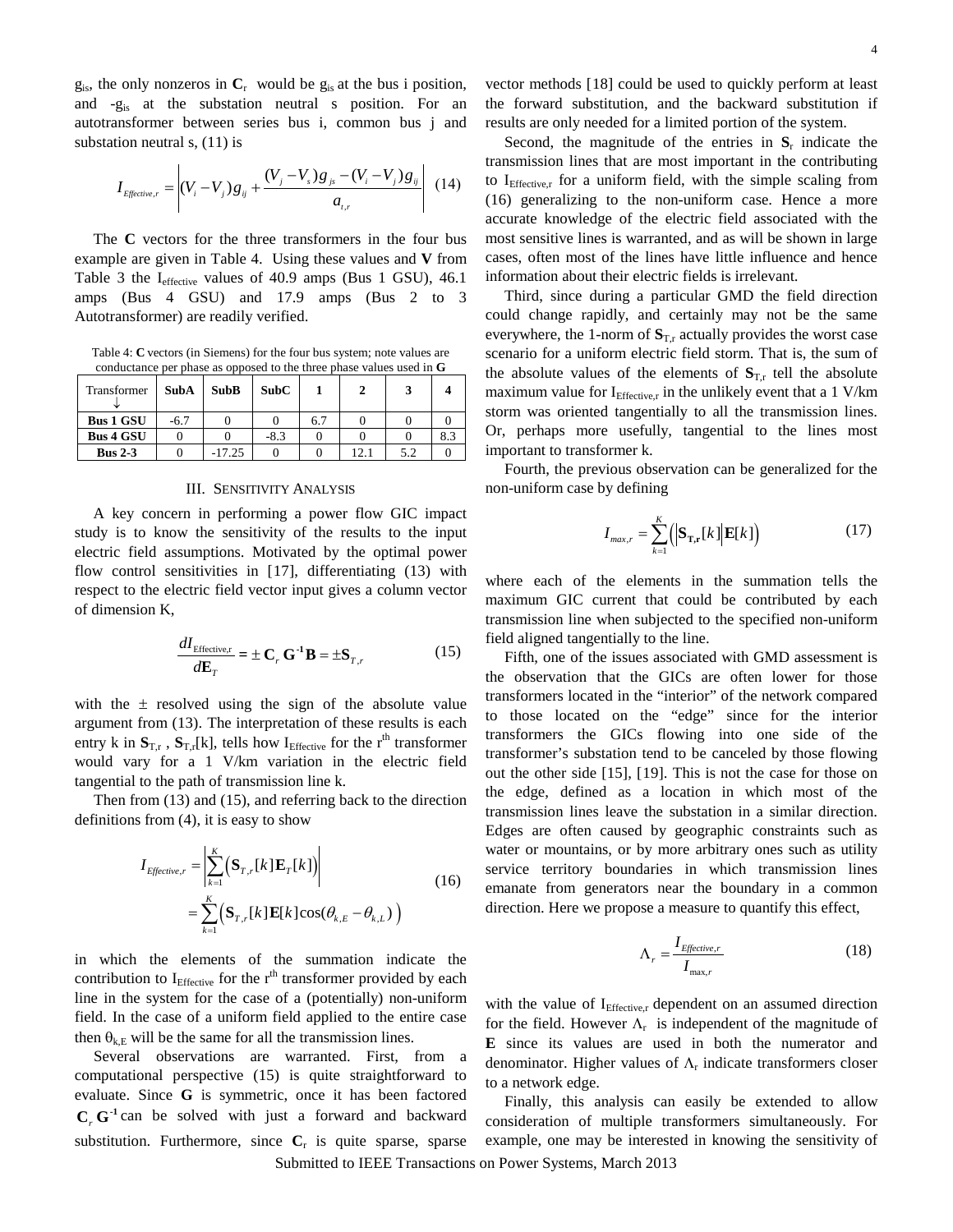$g_{is}$ , the only nonzeros in  $C_r$  would be  $g_{is}$  at the bus i position, and -gis at the substation neutral s position. For an autotransformer between series bus i, common bus j and substation neutral s, [\(11\)](#page-2-6) is

$$
I_{\text{Effective},r} = \left| (V_i - V_j) g_{ij} + \frac{(V_j - V_s) g_{js} - (V_i - V_j) g_{ij}}{a_{i,r}} \right| \tag{14}
$$

The **C** vectors for the three transformers in the four bus example are given in Table [4.](#page-3-0) Using these values and **V** from Table [3](#page-2-2) the  $I_{\text{effective}}$  values of 40.9 amps (Bus 1 GSU), 46.1 amps (Bus 4 GSU) and 17.9 amps (Bus 2 to 3 Autotransformer) are readily verified.

<span id="page-3-0"></span>Table 4: **C** vectors (in Siemens) for the four bus system; note values are conductance per phase as opposed to the three phase values used in **G**

| Transformer      | <b>SubA</b> | <b>SubB</b> | <b>SubC</b> |     |     |     |
|------------------|-------------|-------------|-------------|-----|-----|-----|
| <b>Bus 1 GSU</b> | $-6.7$      |             |             | 6.7 |     |     |
| <b>Bus 4 GSU</b> |             |             | $-8.3$      |     |     | 8.3 |
| Bus $2-3$        |             | $-17.25$    |             |     | 5.2 |     |

# III. SENSITIVITY ANALYSIS

A key concern in performing a power flow GIC impact study is to know the sensitivity of the results to the input electric field assumptions. Motivated by the optimal power flow control sensitivities in [[17\]](#page-6-16), differentiating [\(13\)](#page-2-7) with respect to the electric field vector input gives a column vector of dimension K,

$$
\frac{dI_{\text{Effective,r}}}{dE_T} = \pm \mathbf{C}_r \mathbf{G}^{-1} \mathbf{B} = \pm \mathbf{S}_{T,r}
$$
(15)

with the  $\pm$  resolved using the sign of the absolute value argument from [\(13\)](#page-2-7). The interpretation of these results is each entry k in  $S_{T,r}$ ,  $S_{T,r}[k]$ , tells how I<sub>Effective</sub> for the r<sup>th</sup> transformer would vary for a 1 V/km variation in the electric field tangential to the path of transmission line k.

Then from [\(13\)](#page-2-7) and [\(15\)](#page-3-1), and referring back to the direction definitions fro[m \(4\)](#page-1-5), it is easy to show

$$
I_{E\text{effective},r} = \left| \sum_{k=1}^{K} (\mathbf{S}_{T,r}[k]\mathbf{E}_{T}[k]) \right|
$$
  
= 
$$
\sum_{k=1}^{K} (\mathbf{S}_{T,r}[k]\mathbf{E}[k]\cos(\theta_{k,E} - \theta_{k,L}))
$$
 (16)

in which the elements of the summation indicate the contribution to  $I_{\text{Effective}}$  for the r<sup>th</sup> transformer provided by each line in the system for the case of a (potentially) non-uniform field. In the case of a uniform field applied to the entire case then  $\theta_{k,E}$  will be the same for all the transmission lines.

Several observations are warranted. First, from a computational perspective [\(15\)](#page-3-1) is quite straightforward to evaluate. Since **G** is symmetric, once it has been factored  $C_r$  G<sup>-1</sup> can be solved with just a forward and backward substitution. Furthermore, since  $C<sub>r</sub>$  is quite sparse, sparse

vector methods [[18\]](#page-6-17) could be used to quickly perform at least the forward substitution, and the backward substitution if results are only needed for a limited portion of the system.

Second, the magnitude of the entries in  $S_r$  indicate the transmission lines that are most important in the contributing to I<sub>Effective,r</sub> for a uniform field, with the simple scaling from [\(16\)](#page-3-2) generalizing to the non-uniform case. Hence a more accurate knowledge of the electric field associated with the most sensitive lines is warranted, and as will be shown in large cases, often most of the lines have little influence and hence information about their electric fields is irrelevant.

Third, since during a particular GMD the field direction could change rapidly, and certainly may not be the same everywhere, the 1-norm of  $S<sub>T,r</sub>$  actually provides the worst case scenario for a uniform electric field storm. That is, the sum of the absolute values of the elements of  $S<sub>T,r</sub>$  tell the absolute maximum value for  $I_{\text{Effective},r}$  in the unlikely event that a 1 V/km storm was oriented tangentially to all the transmission lines. Or, perhaps more usefully, tangential to the lines most important to transformer k.

Fourth, the previous observation can be generalized for the non-uniform case by defining

<span id="page-3-3"></span>
$$
I_{max,r} = \sum_{k=1}^{K} \left( \left| \mathbf{S}_{\mathrm{T,r}}[k] \right| \mathbf{E}[k] \right) \tag{17}
$$

where each of the elements in the summation tells the maximum GIC current that could be contributed by each transmission line when subjected to the specified non-uniform field aligned tangentially to the line.

<span id="page-3-1"></span>Fifth, one of the issues associated with GMD assessment is the observation that the GICs are often lower for those transformers located in the "interior" of the network compared to those located on the "edge" since for the interior transformers the GICs flowing into one side of the transformer's substation tend to be canceled by those flowing out the other side [\[15\]](#page-2-4), [[19](#page-6-18)]. This is not the case for those on the edge, defined as a location in which most of the transmission lines leave the substation in a similar direction. Edges are often caused by geographic constraints such as water or mountains, or by more arbitrary ones such as utility service territory boundaries in which transmission lines emanate from generators near the boundary in a common direction. Here we propose a measure to quantify this effect,

$$
\Lambda_r = \frac{I_{Effective,r}}{I_{\text{max},r}}
$$
\n(18)

<span id="page-3-2"></span>with the value of I<sub>Effective,r</sub> dependent on an assumed direction for the field. However  $\Lambda_r$  is independent of the magnitude of **E** since its values are used in both the numerator and denominator. Higher values of  $\Lambda_r$  indicate transformers closer to a network edge.

Submitted to IEEE Transactions on Power Systems, March 2013 Finally, this analysis can easily be extended to allow consideration of multiple transformers simultaneously. For example, one may be interested in knowing the sensitivity of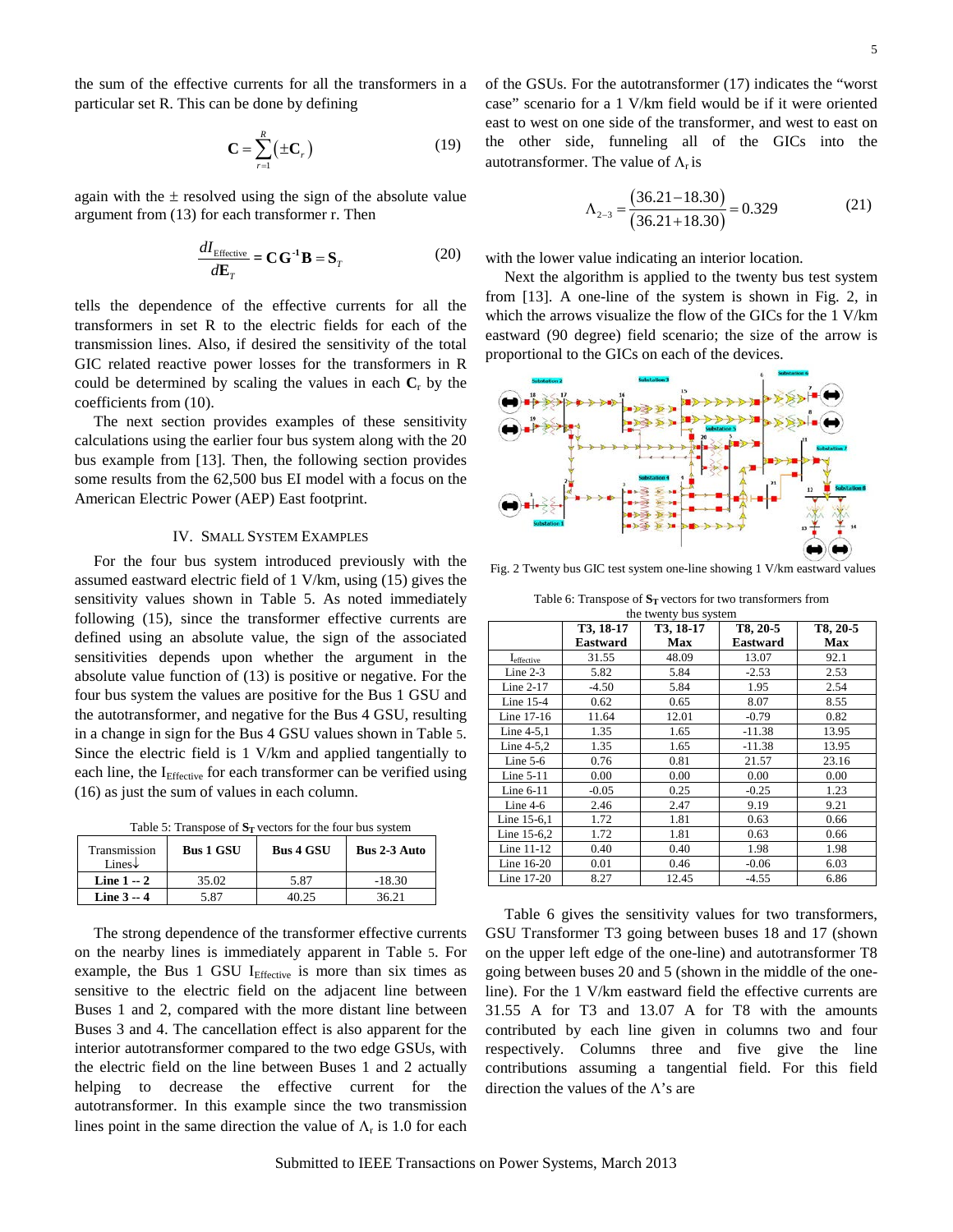the sum of the effective currents for all the transformers in a particular set R. This can be done by defining

$$
\mathbf{C} = \sum_{r=1}^{R} \left( \pm \mathbf{C}_r \right) \tag{19}
$$

again with the  $\pm$  resolved using the sign of the absolute value argument from [\(13\)](#page-2-7) for each transformer r. Then

$$
\frac{dI_{\text{Effective}}}{dE_T} = \mathbf{C}\mathbf{G}^{-1}\mathbf{B} = \mathbf{S}_T
$$
 (20)

tells the dependence of the effective currents for all the transformers in set R to the electric fields for each of the transmission lines. Also, if desired the sensitivity of the total GIC related reactive power losses for the transformers in R could be determined by scaling the values in each  $C_r$  by the coefficients from [\(10\)](#page-2-3).

The next section provides examples of these sensitivity calculations using the earlier four bus system along with the 20 bus example from [\[13\]](#page-1-0). Then, the following section provides some results from the 62,500 bus EI model with a focus on the American Electric Power (AEP) East footprint.

# IV. SMALL SYSTEM EXAMPLES

For the four bus system introduced previously with the assumed eastward electric field of 1 V/km, using [\(15\)](#page-3-1) gives the sensitivity values shown in Table [5.](#page-4-0) As noted immediately following [\(15\)](#page-3-1), since the transformer effective currents are defined using an absolute value, the sign of the associated sensitivities depends upon whether the argument in the absolute value function of [\(13\)](#page-2-7) is positive or negative. For the four bus system the values are positive for the Bus 1 GSU and the autotransformer, and negative for the Bus 4 GSU, resulting in a change in sign for the Bus 4 GSU values shown in Table [5.](#page-4-0)  Since the electric field is 1 V/km and applied tangentially to each line, the  $I<sub>Effective</sub>$  for each transformer can be verified using [\(16\)](#page-3-2) as just the sum of values in each column.

<span id="page-4-0"></span>Table 5: Transpose of  $S_T$  vectors for the four bus system

| Transmission<br>Lines $\downarrow$ | <b>Bus 1 GSU</b> | <b>Bus 4 GSU</b> | <b>Bus 2-3 Auto</b> |
|------------------------------------|------------------|------------------|---------------------|
| Line $1 - 2$                       | 35.02            | 5.87             | $-18.30$            |
| Line $3 - 4$                       | 5 87             |                  | 36.21               |

The strong dependence of the transformer effective currents on the nearby lines is immediately apparent in Table [5.](#page-4-0) For example, the Bus  $1$  GSU I<sub>Effective</sub> is more than six times as sensitive to the electric field on the adjacent line between Buses 1 and 2, compared with the more distant line between Buses 3 and 4. The cancellation effect is also apparent for the interior autotransformer compared to the two edge GSUs, with the electric field on the line between Buses 1 and 2 actually helping to decrease the effective current for the autotransformer. In this example since the two transmission lines point in the same direction the value of  $\Lambda_r$  is 1.0 for each <span id="page-4-3"></span>of the GSUs. For the autotransformer [\(17\)](#page-3-3) indicates the "worst case" scenario for a 1 V/km field would be if it were oriented east to west on one side of the transformer, and west to east on the other side, funneling all of the GICs into the autotransformer. The value of  $\Lambda_r$  is

$$
\Lambda_{2-3} = \frac{(36.21 - 18.30)}{(36.21 + 18.30)} = 0.329\tag{21}
$$

<span id="page-4-4"></span>with the lower value indicating an interior location.

Next the algorithm is applied to the twenty bus test system from [\[13\]](#page-1-0). A one-line of the system is shown in Fig. [2,](#page-4-1) in which the arrows visualize the flow of the GICs for the 1 V/km eastward (90 degree) field scenario; the size of the arrow is proportional to the GICs on each of the devices.



<span id="page-4-1"></span>Fig. 2 Twenty bus GIC test system one-line showing 1 V/km eastward values

<span id="page-4-2"></span>Table 6: Transpose of  $S_T$  vectors for two transformers from the twenty bus system

|                               | $\frac{1}{2}$ only $\frac{1}{2}$ $\frac{1}{2}$<br>T3, 18-17 | T8, 20-5 |          |       |
|-------------------------------|-------------------------------------------------------------|----------|----------|-------|
|                               | Eastward                                                    | Max      | Eastward | Max   |
| <b>I</b> <sub>effective</sub> | 31.55                                                       | 48.09    | 13.07    | 92.1  |
| Line $2-3$                    | 5.82                                                        | 5.84     | $-2.53$  | 2.53  |
| Line 2-17                     | $-4.50$                                                     | 5.84     | 1.95     | 2.54  |
| Line $15-4$                   | 0.62                                                        | 0.65     | 8.07     | 8.55  |
| Line 17-16                    | 11.64                                                       | 12.01    | $-0.79$  | 0.82  |
| Line 4-5,1                    | 1.35                                                        | 1.65     | $-11.38$ | 13.95 |
| Line 4-5.2                    | 1.35                                                        | 1.65     | $-11.38$ | 13.95 |
| Line $5-6$                    | 0.76                                                        | 0.81     | 21.57    | 23.16 |
| Line $5-11$                   | 0.00                                                        | 0.00     | 0.00     | 0.00  |
| Line $6-11$                   | $-0.05$                                                     | 0.25     | $-0.25$  | 1.23  |
| Line $4-6$                    | 2.46                                                        | 2.47     | 9.19     | 9.21  |
| Line 15-6,1                   | 1.72                                                        | 1.81     | 0.63     | 0.66  |
| Line $15-6.2$                 | 1.72                                                        | 1.81     | 0.63     | 0.66  |
| Line $11-12$                  | 0.40                                                        | 0.40     | 1.98     | 1.98  |
| Line $16-20$                  | 0.01                                                        | 0.46     | $-0.06$  | 6.03  |
| Line 17-20                    | 8.27                                                        | 12.45    | $-4.55$  | 6.86  |

Table [6](#page-4-2) gives the sensitivity values for two transformers, GSU Transformer T3 going between buses 18 and 17 (shown on the upper left edge of the one-line) and autotransformer T8 going between buses 20 and 5 (shown in the middle of the oneline). For the 1 V/km eastward field the effective currents are 31.55 A for T3 and 13.07 A for T8 with the amounts contributed by each line given in columns two and four respectively. Columns three and five give the line contributions assuming a tangential field. For this field direction the values of the  $\Lambda$ 's are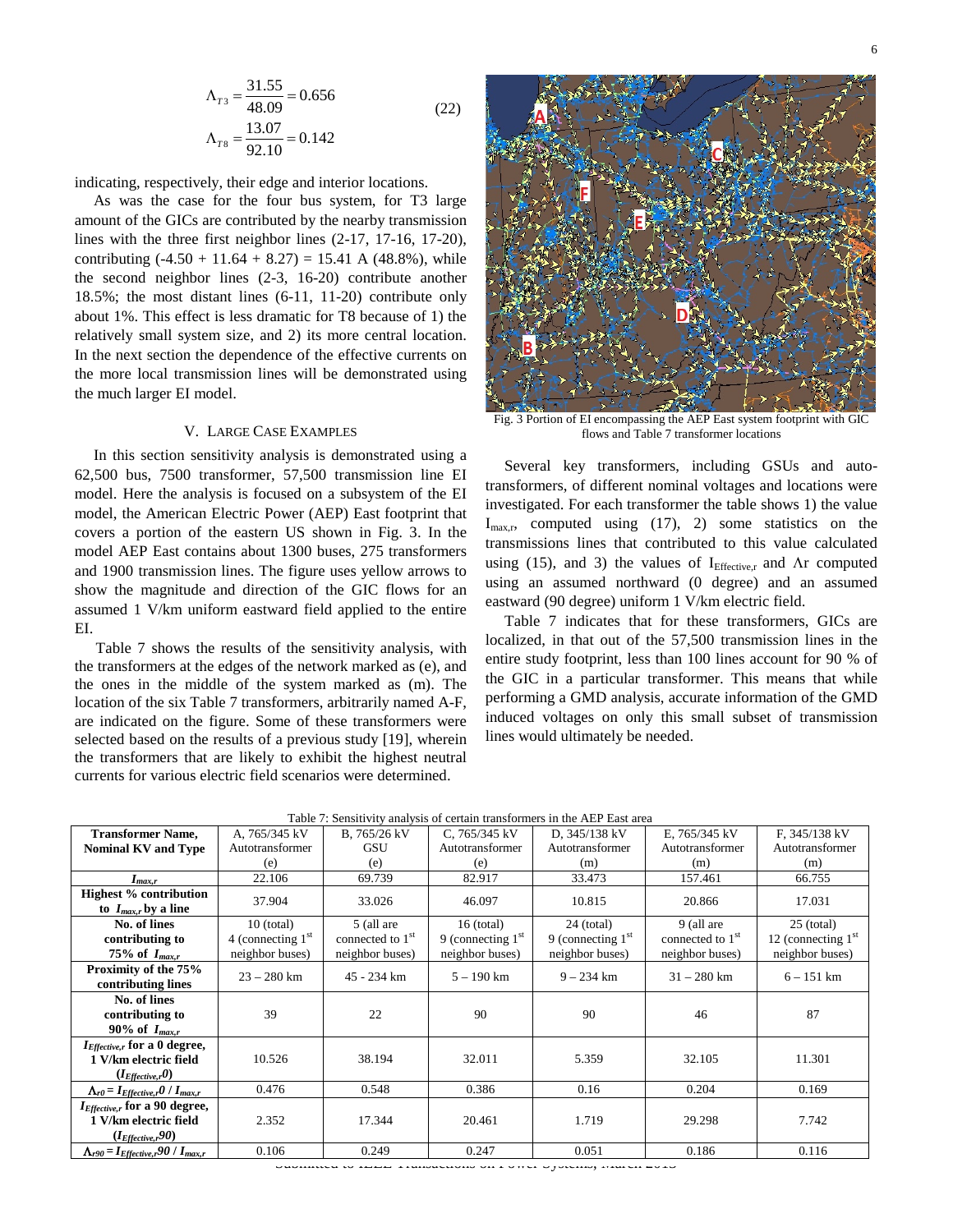$$
\Lambda_{T3} = \frac{31.55}{48.09} = 0.656
$$
  
\n
$$
\Lambda_{T8} = \frac{13.07}{92.10} = 0.142
$$
\n(22)

indicating, respectively, their edge and interior locations.

As was the case for the four bus system, for T3 large amount of the GICs are contributed by the nearby transmission lines with the three first neighbor lines (2-17, 17-16, 17-20), contributing  $(-4.50 + 11.64 + 8.27) = 15.41$  A  $(48.8\%)$ , while the second neighbor lines (2-3, 16-20) contribute another 18.5%; the most distant lines (6-11, 11-20) contribute only about 1%. This effect is less dramatic for T8 because of 1) the relatively small system size, and 2) its more central location. In the next section the dependence of the effective currents on the more local transmission lines will be demonstrated using the much larger EI model.

#### V. LARGE CASE EXAMPLES

In this section sensitivity analysis is demonstrated using a 62,500 bus, 7500 transformer, 57,500 transmission line EI model. Here the analysis is focused on a subsystem of the EI model, the American Electric Power (AEP) East footprint that covers a portion of the eastern US shown in Fig. 3. In the model AEP East contains about 1300 buses, 275 transformers and 1900 transmission lines. The figure uses yellow arrows to show the magnitude and direction of the GIC flows for an assumed 1 V/km uniform eastward field applied to the entire EI.

Table [7](#page-5-0) shows the results of the sensitivity analysis, with the transformers at the edges of the network marked as (e), and the ones in the middle of the system marked as (m). The location of the six Tabl[e 7](#page-5-0) transformers, arbitrarily named A-F, are indicated on the figure. Some of these transformers were selected based on the results of a previous study [19], wherein the transformers that are likely to exhibit the highest neutral currents for various electric field scenarios were determined.



Fig. 3 Portion of EI encompassing the AEP East system footprint with GIC flows and Tabl[e 7](#page-5-0) transformer locations

Several key transformers, including GSUs and autotransformers, of different nominal voltages and locations were investigated. For each transformer the table shows 1) the value  $I_{\text{max.r}}$ , computed using [\(17\)](#page-3-3), 2) some statistics on the transmissions lines that contributed to this value calculated using [\(15\)](#page-3-1), and 3) the values of  $I<sub>Effective,r</sub>$  and  $\Lambda r$  computed using an assumed northward (0 degree) and an assumed eastward (90 degree) uniform 1 V/km electric field.

Table [7](#page-5-0) indicates that for these transformers, GICs are localized, in that out of the 57,500 transmission lines in the entire study footprint, less than 100 lines account for 90 % of the GIC in a particular transformer. This means that while performing a GMD analysis, accurate information of the GMD induced voltages on only this small subset of transmission lines would ultimately be needed.

| Table 7: Sensitivity analysis of certain transformers in the AEP East area                |                                                        |                                                               |                                                        |                                                        |                                                               |                                                         |  |
|-------------------------------------------------------------------------------------------|--------------------------------------------------------|---------------------------------------------------------------|--------------------------------------------------------|--------------------------------------------------------|---------------------------------------------------------------|---------------------------------------------------------|--|
| <b>Transformer Name,</b>                                                                  | A, 765/345 kV                                          | B, 765/26 kV                                                  | C, $765/345$ kV                                        | D, 345/138 kV                                          | E, 765/345 kV                                                 | F, 345/138 kV                                           |  |
| <b>Nominal KV and Type</b>                                                                | Autotransformer                                        | GSU                                                           | Autotransformer                                        | Autotransformer                                        | Autotransformer                                               | Autotransformer                                         |  |
|                                                                                           | (e)                                                    | (e)                                                           | (e)                                                    | (m)                                                    | (m)                                                           | (m)                                                     |  |
| $I_{max,r}$                                                                               | 22.106                                                 | 69.739                                                        | 82.917                                                 | 33.473                                                 | 157.461                                                       | 66.755                                                  |  |
| <b>Highest % contribution</b><br>to $I_{max,r}$ by a line                                 | 37.904                                                 | 33.026                                                        | 46.097                                                 | 10.815                                                 | 20.866                                                        | 17.031                                                  |  |
| No. of lines<br>contributing to<br>75% of $I_{max.r}$                                     | $10$ (total)<br>4 (connecting $1st$<br>neighbor buses) | 5 (all are<br>connected to 1 <sup>st</sup><br>neighbor buses) | $16$ (total)<br>9 (connecting $1st$<br>neighbor buses) | $24$ (total)<br>9 (connecting $1st$<br>neighbor buses) | 9 (all are<br>connected to 1 <sup>st</sup><br>neighbor buses) | $25$ (total)<br>12 (connecting $1st$<br>neighbor buses) |  |
| Proximity of the 75%<br>contributing lines                                                | $23 - 280$ km                                          | 45 - 234 km                                                   | $5 - 190$ km                                           | $9 - 234$ km                                           | $31 - 280$ km                                                 | $6 - 151$ km                                            |  |
| No. of lines<br>contributing to<br>90% of $I_{max,r}$                                     | 39                                                     | 22                                                            | 90                                                     | 90                                                     | 46                                                            | 87                                                      |  |
| $I_{\text{Effective},r}$ for a 0 degree,<br>1 V/km electric field<br>$(I_{Effective,r}0)$ | 10.526                                                 | 38.194                                                        | 32.011                                                 | 5.359                                                  | 32.105                                                        | 11.301                                                  |  |
| $\Lambda_{r0} = I_{Effective,r}0 / I_{max,r}$                                             | 0.476                                                  | 0.548                                                         | 0.386                                                  | 0.16                                                   | 0.204                                                         | 0.169                                                   |  |
| IEffective,r for a 90 degree,<br>1 V/km electric field<br>$(I_{Effective,r}90)$           | 2.352                                                  | 17.344                                                        | 20.461                                                 | 1.719                                                  | 29.298                                                        | 7.742                                                   |  |
| $\Lambda_{r90} = I_{Effective,r}$ 90 / $I_{max,r}$                                        | 0.106                                                  | 0.249                                                         | 0.247                                                  | 0.051                                                  | 0.186                                                         | 0.116                                                   |  |

<span id="page-5-0"></span>Table 7: Sensitivity analysis of certain transformers in the AEP East area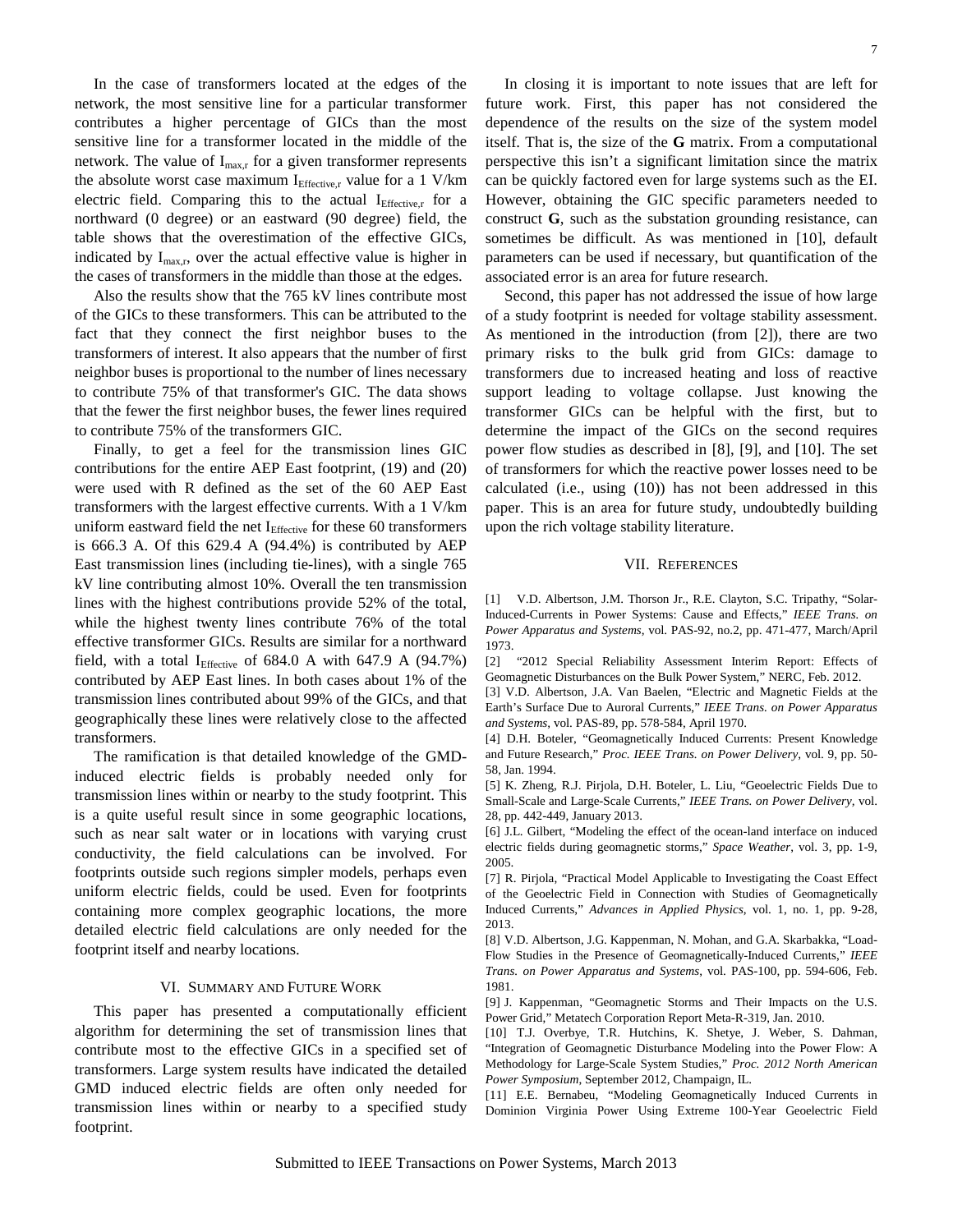<span id="page-6-12"></span><span id="page-6-11"></span>In the case of transformers located at the edges of the network, the most sensitive line for a particular transformer contributes a higher percentage of GICs than the most sensitive line for a transformer located in the middle of the network. The value of  $I_{max,r}$  for a given transformer represents the absolute worst case maximum  $I<sub>Effective.r</sub>$  value for a 1 V/km electric field. Comparing this to the actual  $I_{\text{Effective,r}}$  for a northward (0 degree) or an eastward (90 degree) field, the table shows that the overestimation of the effective GICs, indicated by  $I_{\text{max,r}}$ , over the actual effective value is higher in the cases of transformers in the middle than those at the edges.

<span id="page-6-15"></span><span id="page-6-14"></span><span id="page-6-13"></span>Also the results show that the 765 kV lines contribute most of the GICs to these transformers. This can be attributed to the fact that they connect the first neighbor buses to the transformers of interest. It also appears that the number of first neighbor buses is proportional to the number of lines necessary to contribute 75% of that transformer's GIC. The data shows that the fewer the first neighbor buses, the fewer lines required to contribute 75% of the transformers GIC.

<span id="page-6-19"></span><span id="page-6-18"></span><span id="page-6-17"></span><span id="page-6-16"></span><span id="page-6-0"></span>Finally, to get a feel for the transmission lines GIC contributions for the entire AEP East footprint, [\(19\)](#page-4-3) and [\(20\)](#page-4-4) were used with R defined as the set of the 60 AEP East transformers with the largest effective currents. With a 1 V/km uniform eastward field the net  $I<sub>Effective</sub>$  for these 60 transformers is 666.3 A. Of this 629.4 A (94.4%) is contributed by AEP East transmission lines (including tie-lines), with a single 765 kV line contributing almost 10%. Overall the ten transmission lines with the highest contributions provide 52% of the total, while the highest twenty lines contribute 76% of the total effective transformer GICs. Results are similar for a northward field, with a total  $I_{\text{Effective}}$  of 684.0 A with 647.9 A (94.7%) contributed by AEP East lines. In both cases about 1% of the transmission lines contributed about 99% of the GICs, and that geographically these lines were relatively close to the affected transformers.

<span id="page-6-6"></span><span id="page-6-5"></span><span id="page-6-4"></span><span id="page-6-3"></span><span id="page-6-2"></span><span id="page-6-1"></span>The ramification is that detailed knowledge of the GMDinduced electric fields is probably needed only for transmission lines within or nearby to the study footprint. This is a quite useful result since in some geographic locations, such as near salt water or in locations with varying crust conductivity, the field calculations can be involved. For footprints outside such regions simpler models, perhaps even uniform electric fields, could be used. Even for footprints containing more complex geographic locations, the more detailed electric field calculations are only needed for the footprint itself and nearby locations.

# VI. SUMMARY AND FUTURE WORK

<span id="page-6-10"></span><span id="page-6-9"></span><span id="page-6-8"></span><span id="page-6-7"></span>This paper has presented a computationally efficient algorithm for determining the set of transmission lines that contribute most to the effective GICs in a specified set of transformers. Large system results have indicated the detailed GMD induced electric fields are often only needed for transmission lines within or nearby to a specified study footprint.

In closing it is important to note issues that are left for future work. First, this paper has not considered the dependence of the results on the size of the system model itself. That is, the size of the **G** matrix. From a computational perspective this isn't a significant limitation since the matrix can be quickly factored even for large systems such as the EI. However, obtaining the GIC specific parameters needed to construct **G**, such as the substation grounding resistance, can sometimes be difficult. As was mentioned in [\[10\]](#page-0-3), default parameters can be used if necessary, but quantification of the associated error is an area for future research.

Second, this paper has not addressed the issue of how large of a study footprint is needed for voltage stability assessment. As mentioned in the introduction (from [\[2\]](#page-0-4)), there are two primary risks to the bulk grid from GICs: damage to transformers due to increased heating and loss of reactive support leading to voltage collapse. Just knowing the transformer GICs can be helpful with the first, but to determine the impact of the GICs on the second requires power flow studies as described in [\[8\]](#page-0-2), [\[9\]](#page-0-5), and [\[10\]](#page-0-3). The set of transformers for which the reactive power losses need to be calculated (i.e., using [\(10\)](#page-2-3)) has not been addressed in this paper. This is an area for future study, undoubtedly building upon the rich voltage stability literature.

#### VII. REFERENCES

[\[1](#page-6-19)] V.D. Albertson, J.M. Thorson Jr., R.E. Clayton, S.C. Tripathy, "Solar-Induced-Currents in Power Systems: Cause and Effects," *IEEE Trans. on Power Apparatus and Systems*, vol. PAS-92, no.2, pp. 471-477, March/April 1973.

[2] "2012 Special Reliability Assessment Interim Report: Effects of Geomagnetic Disturbances on the Bulk Power System," NERC, Feb. 2012.

[3] V.D. Albertson, J.A. Van Baelen, "Electric and Magnetic Fields at the Earth's Surface Due to Auroral Currents," *IEEE Trans. on Power Apparatus and Systems*, vol. PAS-89, pp. 578-584, April 1970.

[4] D.H. Boteler, "Geomagnetically Induced Currents: Present Knowledge and Future Research," *Proc. IEEE Trans. on Power Delivery*, vol. 9, pp. 50- 58, Jan. 1994.

[5] K. Zheng, R.J. Pirjola, D.H. Boteler, L. Liu, "Geoelectric Fields Due to Small-Scale and Large-Scale Currents," *IEEE Trans. on Power Delivery,* vol. 28, pp. 442-449, January 2013.

[6] J.L. Gilbert, "Modeling the effect of the ocean-land interface on induced electric fields during geomagnetic storms," *Space Weather*, vol. 3, pp. 1-9, 2005.

[7] R. Pirjola, "Practical Model Applicable to Investigating the Coast Effect of the Geoelectric Field in Connection with Studies of Geomagnetically Induced Currents," *Advances in Applied Physics*, vol. 1, no. 1, pp. 9-28, 2013.

[8] V.D. Albertson, J.G. Kappenman, N. Mohan, and G.A. Skarbakka, "Load-Flow Studies in the Presence of Geomagnetically-Induced Currents," *IEEE Trans. on Power Apparatus and Systems*, vol. PAS-100, pp. 594-606, Feb. 1981.

[9] J. Kappenman, "Geomagnetic Storms and Their Impacts on the U.S. Power Grid," Metatech Corporation Report Meta-R-319, Jan. 2010.

[10] T.J. Overbye, T.R. Hutchins, K. Shetye, J. Weber, S. Dahman, "Integration of Geomagnetic Disturbance Modeling into the Power Flow: A Methodology for Large-Scale System Studies," *Proc. 2012 North American Power Symposium*, September 2012, Champaign, IL.

[11] E.E. Bernabeu, "Modeling Geomagnetically Induced Currents in Dominion Virginia Power Using Extreme 100-Year Geoelectric Field